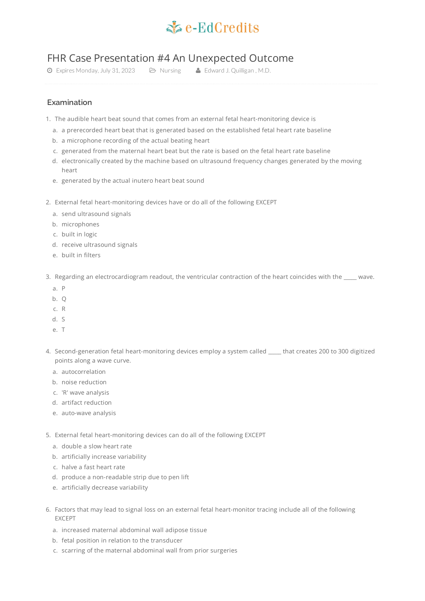

## FHR Case Presentation #4 An Unexpected Outcome

Expires Monday, July 31, 2023 Nursing Edward J. Quilligan , M.D.

## **Examination**

- 1. The audible heart beat sound that comes from an external fetal heart-monitoring device is
	- a. a prerecorded heart beat that is generated based on the established fetal heart rate baseline
	- b. a microphone recording of the actual beating heart
	- c. generated from the maternal heart beat but the rate is based on the fetal heart rate baseline
	- d. electronically created by the machine based on ultrasound frequency changes generated by the moving heart
	- e. generated by the actual inutero heart beat sound
- 2. External fetal heart-monitoring devices have or do all of the following EXCEPT
	- a. send ultrasound signals
	- b. microphones
	- c. built in logic
	- d. receive ultrasound signals
	- e. built in filters
- 3. Regarding an electrocardiogram readout, the ventricular contraction of the heart coincides with the \_\_\_\_\_ wave.
	- a. P
	- $b. 0$
	- c. R
	- d. S
	- e. T
- 4. Second-generation fetal heart-monitoring devices employ a system called \_\_\_\_\_ that creates 200 to 300 digitized points along a wave curve.
	- a. autocorrelation
	- b. noise reduction
	- c. 'R' wave analysis
	- d. artifact reduction
	- e. auto-wave analysis
- 5. External fetal heart-monitoring devices can do all of the following EXCEPT
	- a. double a slow heart rate
	- b. artificially increase variability
	- c. halve a fast heart rate
	- d. produce a non-readable strip due to pen lift
	- e. artificially decrease variability
- 6. Factors that may lead to signal loss on an external fetal heart-monitor tracing include all of the following EXCEPT
	- a. increased maternal abdominal wall adipose tissue
	- b. fetal position in relation to the transducer
	- c. scarring of the maternal abdominal wall from prior surgeries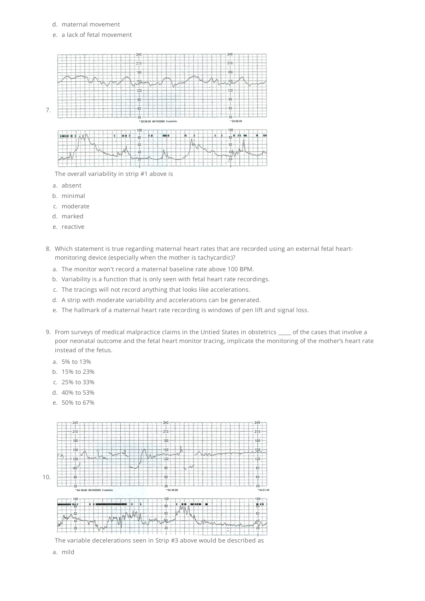## d. maternal movement

e. a lack of fetal movement



The overall variability in strip #1 above is

- a. absent
- b. minimal
- c. moderate
- d. marked
- e. reactive
- 8. Which statement is true regarding maternal heart rates that are recorded using an external fetal heartmonitoring device (especially when the mother is tachycardic)?
	- a. The monitor won't record a maternal baseline rate above 100 BPM.
	- b. Variability is a function that is only seen with fetal heart rate recordings.
	- c. The tracings will not record anything that looks like accelerations.
	- d. A strip with moderate variability and accelerations can be generated.
	- e. The hallmark of a maternal heart rate recording is windows of pen lift and signal loss.
- 9. From surveys of medical malpractice claims in the Untied States in obstetrics \_\_\_\_\_ of the cases that involve a poor neonatal outcome and the fetal heart monitor tracing, implicate the monitoring of the mother's heart rate instead of the fetus.
	- a. 5% to 13%
	- b. 15% to 23%
	- c. 25% to 33%
	- d. 40% to 53%
	- e. 50% to 67%



The variable decelerations seen in Strip #3 above would be described as

a. mild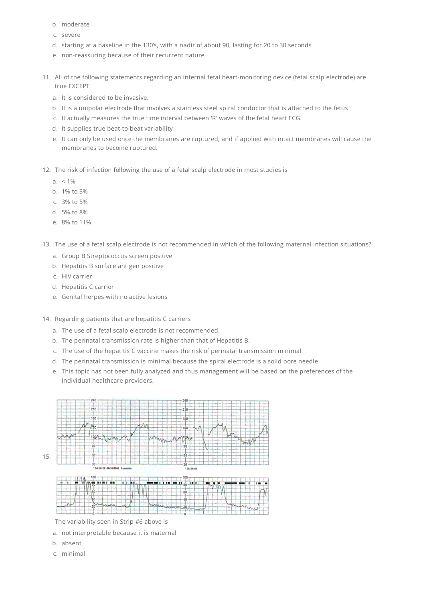- b. moderate
- c. severe
- d. starting at a baseline in the 130's, with a nadir of about 90, lasting for 20 to 30 seconds
- e. non-reassuring because of their recurrent nature
- 11. All of the following statements regarding an internal fetal heart-monitoring device (fetal scalp electrode) are true EXCEPT
	- a. It is considered to be invasive.
	- b. It is a unipolar electrode that involves a stainless steel spiral conductor that is attached to the fetus
	- c. It actually measures the true time interval between 'R' waves of the fetal heart ECG.
	- d. It supplies true beat-to-beat variability
	- e. It can only be used once the membranes are ruptured, and if applied with intact membranes will cause the membranes to become ruptured.
- 12. The risk of infection following the use of a fetal scalp electrode in most studies is
	- a.  $< 1\%$
	- b. 1% to 3%
	- c. 3% to 5%
	- d. 5% to 8%
	- e. 8% to 11%
- 13. The use of a fetal scalp electrode is not recommended in which of the following maternal infection situations?
	- a. Group B Streptococcus screen positive
	- b. Hepatitis B surface antigen positive
	- c. HIV carrier
	- d. Hepatitis C carrier
	- e. Genital herpes with no active lesions
- 14. Regarding patients that are hepatitis C carriers
	- a. The use of a fetal scalp electrode is not recommended.
	- b. The perinatal transmission rate is higher than that of Hepatitis B.
	- c. The use of the hepatitis C vaccine makes the risk of perinatal transmission minimal.
	- d. The perinatal transmission is minimal because the spiral electrode is a solid bore needle
	- e. This topic has not been fully analyzed and thus management will be based on the preferences of the individual healthcare providers.



The variability seen in Strip #6 above is

- a. not interpretable because it is maternal
- b. absent
- c. minimal